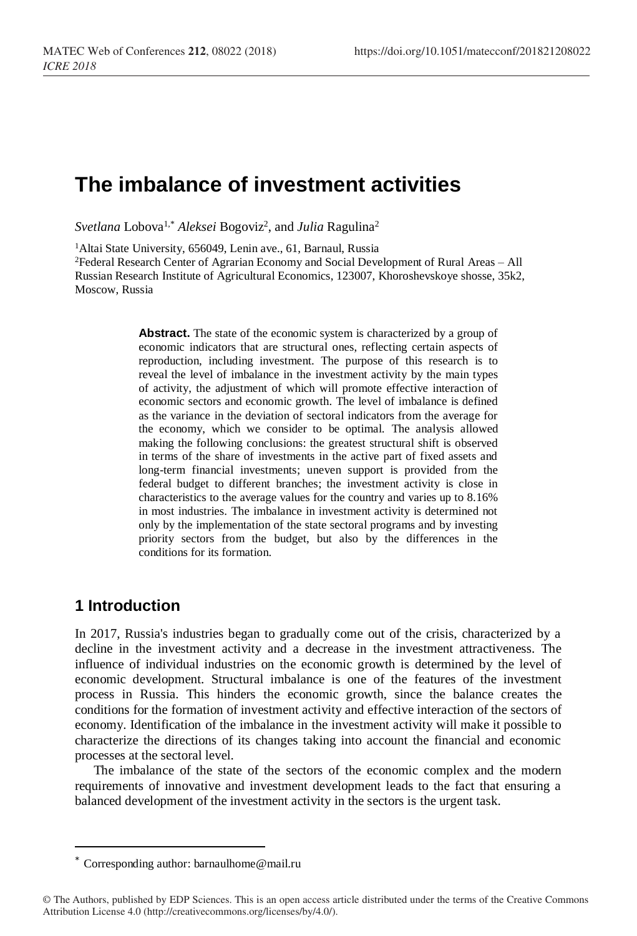# **The imbalance of investment activities**

 $Svetlana Lobova<sup>1,*</sup> Aleksei Bogoviz<sup>2</sup>, and *Julia* Ragulina<sup>2</sup>$ 

<sup>1</sup>Altai State University, 656049, Lenin ave., 61, Barnaul, Russia <sup>2</sup>Federal Research Center of Agrarian Economy and Social Development of Rural Areas – All Russian Research Institute of Agricultural Economics, 123007, Khoroshevskoye shosse, 35k2, Moscow, Russia

> **Abstract.** The state of the economic system is characterized by a group of economic indicators that are structural ones, reflecting certain aspects of reproduction, including investment. The purpose of this research is to reveal the level of imbalance in the investment activity by the main types of activity, the adjustment of which will promote effective interaction of economic sectors and economic growth. The level of imbalance is defined as the variance in the deviation of sectoral indicators from the average for the economy, which we consider to be optimal. The analysis allowed making the following conclusions: the greatest structural shift is observed in terms of the share of investments in the active part of fixed assets and long-term financial investments; uneven support is provided from the federal budget to different branches; the investment activity is close in characteristics to the average values for the country and varies up to 8.16% in most industries. The imbalance in investment activity is determined not only by the implementation of the state sectoral programs and by investing priority sectors from the budget, but also by the differences in the conditions for its formation.

### **1 Introduction**

 $\overline{a}$ 

In 2017, Russia's industries began to gradually come out of the crisis, characterized by a decline in the investment activity and a decrease in the investment attractiveness. The influence of individual industries on the economic growth is determined by the level of economic development. Structural imbalance is one of the features of the investment process in Russia. This hinders the economic growth, since the balance creates the conditions for the formation of investment activity and effective interaction of the sectors of economy. Identification of the imbalance in the investment activity will make it possible to characterize the directions of its changes taking into account the financial and economic processes at the sectoral level.

The imbalance of the state of the sectors of the economic complex and the modern requirements of innovative and investment development leads to the fact that ensuring a balanced development of the investment activity in the sectors is the urgent task.

<sup>\*</sup> Corresponding author: [barnaulhome@mail.ru](mailto:barnaulhome@mail.ru)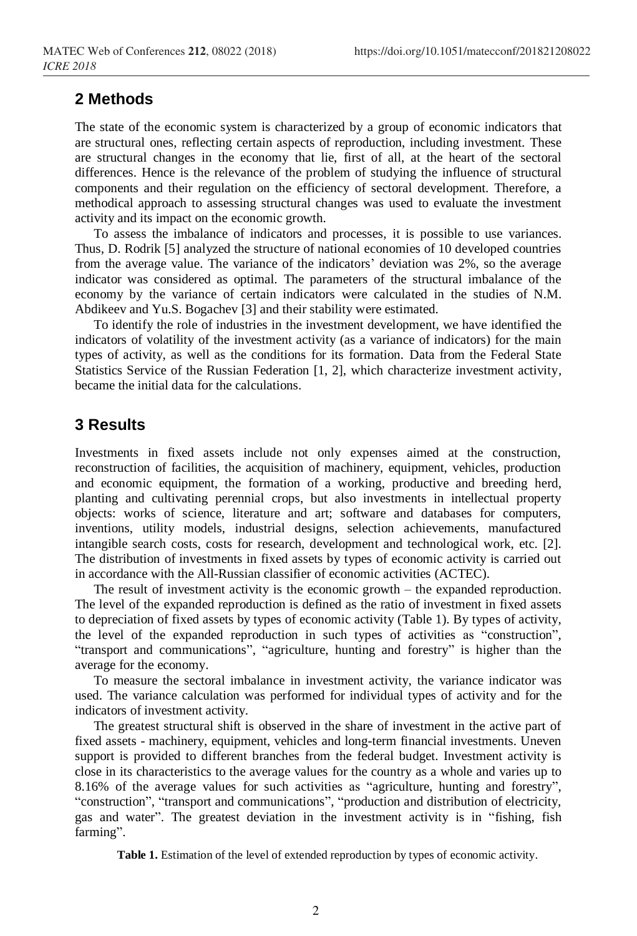#### **2 Methods**

The state of the economic system is characterized by a group of economic indicators that are structural ones, reflecting certain aspects of reproduction, including investment. These are structural changes in the economy that lie, first of all, at the heart of the sectoral differences. Hence is the relevance of the problem of studying the influence of structural components and their regulation on the efficiency of sectoral development. Therefore, a methodical approach to assessing structural changes was used to evaluate the investment activity and its impact on the economic growth.

To assess the imbalance of indicators and processes, it is possible to use variances. Thus, D. Rodrik [5] analyzed the structure of national economies of 10 developed countries from the average value. The variance of the indicators' deviation was 2%, so the average indicator was considered as optimal. The parameters of the structural imbalance of the economy by the variance of certain indicators were calculated in the studies of N.M. Abdikeev and Yu.S. Bogachev [3] and their stability were estimated.

To identify the role of industries in the investment development, we have identified the indicators of volatility of the investment activity (as a variance of indicators) for the main types of activity, as well as the conditions for its formation. Data from the Federal State Statistics Service of the Russian Federation [1, 2], which characterize investment activity, became the initial data for the calculations.

#### **3 Results**

Investments in fixed assets include not only expenses aimed at the construction, reconstruction of facilities, the acquisition of machinery, equipment, vehicles, production and economic equipment, the formation of a working, productive and breeding herd, planting and cultivating perennial crops, but also investments in intellectual property objects: works of science, literature and art; software and databases for computers, inventions, utility models, industrial designs, selection achievements, manufactured intangible search costs, costs for research, development and technological work, etc. [2]. The distribution of investments in fixed assets by types of economic activity is carried out in accordance with the All-Russian classifier of economic activities (ACTEC).

The result of investment activity is the economic growth – the expanded reproduction. The level of the expanded reproduction is defined as the ratio of investment in fixed assets to depreciation of fixed assets by types of economic activity (Table 1). By types of activity, the level of the expanded reproduction in such types of activities as "construction", "transport and communications", "agriculture, hunting and forestry" is higher than the average for the economy.

To measure the sectoral imbalance in investment activity, the variance indicator was used. The variance calculation was performed for individual types of activity and for the indicators of investment activity.

The greatest structural shift is observed in the share of investment in the active part of fixed assets - machinery, equipment, vehicles and long-term financial investments. Uneven support is provided to different branches from the federal budget. Investment activity is close in its characteristics to the average values for the country as a whole and varies up to 8.16% of the average values for such activities as "agriculture, hunting and forestry", "construction", "transport and communications", "production and distribution of electricity, gas and water". The greatest deviation in the investment activity is in "fishing, fish farming".

**Table 1.** Estimation of the level of extended reproduction by types of economic activity.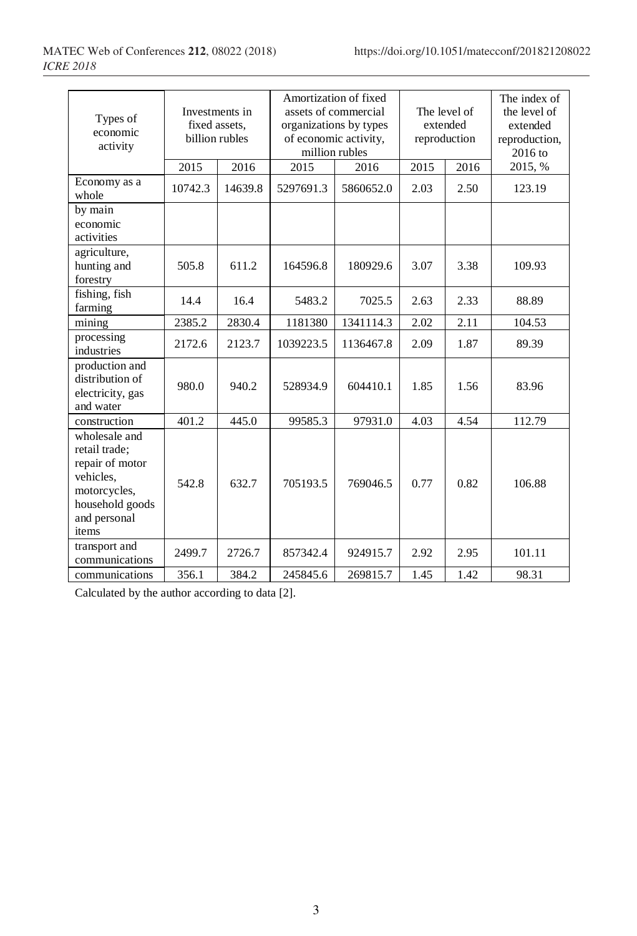| Types of<br>economic<br>activity                                                                                           |              | Investments in<br>fixed assets.<br>billion rubles |           | Amortization of fixed<br>assets of commercial<br>organizations by types<br>of economic activity,<br>million rubles |              | The level of<br>extended<br>reproduction | The index of<br>the level of<br>extended<br>reproduction,<br>$2016$ to |  |
|----------------------------------------------------------------------------------------------------------------------------|--------------|---------------------------------------------------|-----------|--------------------------------------------------------------------------------------------------------------------|--------------|------------------------------------------|------------------------------------------------------------------------|--|
|                                                                                                                            | 2015<br>2016 |                                                   | 2015      | 2016                                                                                                               | 2015<br>2016 |                                          | 2015, %                                                                |  |
| Economy as a<br>whole                                                                                                      | 10742.3      | 14639.8                                           | 5297691.3 | 5860652.0                                                                                                          | 2.03         | 2.50                                     | 123.19                                                                 |  |
| by main<br>economic<br>activities                                                                                          |              |                                                   |           |                                                                                                                    |              |                                          |                                                                        |  |
| agriculture,<br>hunting and<br>forestry                                                                                    | 505.8        | 611.2                                             | 164596.8  | 180929.6                                                                                                           | 3.07         | 3.38                                     | 109.93                                                                 |  |
| fishing, fish<br>farming                                                                                                   | 14.4         | 16.4                                              | 5483.2    | 7025.5                                                                                                             | 2.63         | 2.33                                     | 88.89                                                                  |  |
| mining                                                                                                                     | 2385.2       | 2830.4                                            | 1181380   | 1341114.3                                                                                                          | 2.02         | 2.11                                     | 104.53                                                                 |  |
| processing<br>industries                                                                                                   | 2172.6       | 2123.7                                            | 1039223.5 | 1136467.8                                                                                                          | 2.09         | 1.87                                     | 89.39                                                                  |  |
| production and<br>distribution of<br>electricity, gas<br>and water                                                         | 980.0        | 940.2                                             | 528934.9  | 604410.1                                                                                                           | 1.85         | 1.56                                     | 83.96                                                                  |  |
| construction                                                                                                               | 401.2        | 445.0                                             | 99585.3   | 97931.0                                                                                                            | 4.03         | 4.54                                     | 112.79                                                                 |  |
| wholesale and<br>retail trade;<br>repair of motor<br>vehicles.<br>motorcycles,<br>household goods<br>and personal<br>items | 542.8        | 632.7                                             | 705193.5  | 769046.5                                                                                                           | 0.77         | 0.82                                     | 106.88                                                                 |  |
| transport and<br>communications                                                                                            | 2499.7       | 2726.7                                            | 857342.4  | 924915.7                                                                                                           | 2.92         | 2.95                                     | 101.11                                                                 |  |
| communications                                                                                                             | 356.1        | 384.2                                             | 245845.6  | 269815.7                                                                                                           | 1.45         | 1.42                                     | 98.31                                                                  |  |

Calculated by the author according to data [2].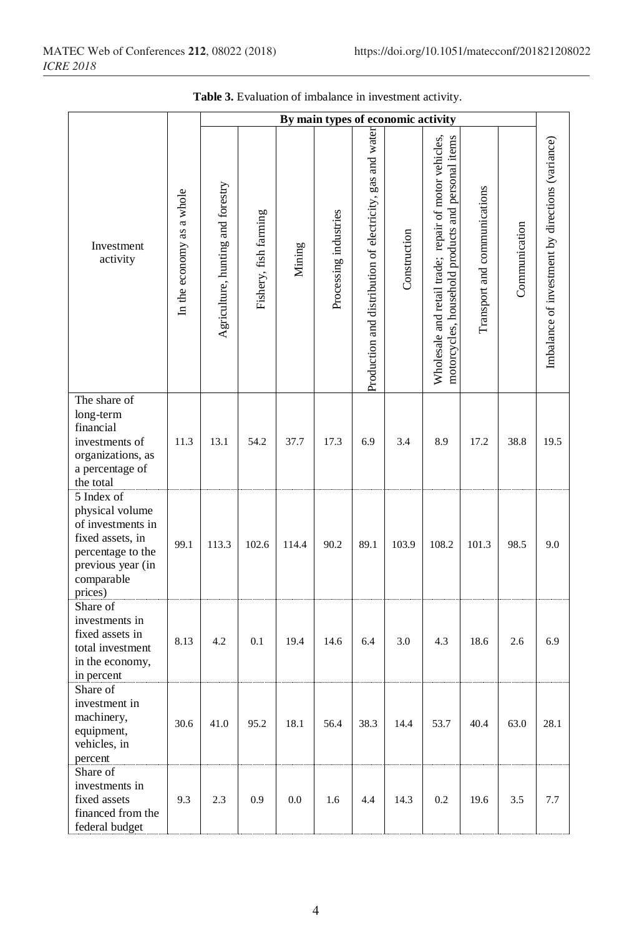|                                                                                                                                           |                           |                                   |                       |        |                       |                                                           | By main types of economic activity |                                                                                                             |                              |               |                                                  |
|-------------------------------------------------------------------------------------------------------------------------------------------|---------------------------|-----------------------------------|-----------------------|--------|-----------------------|-----------------------------------------------------------|------------------------------------|-------------------------------------------------------------------------------------------------------------|------------------------------|---------------|--------------------------------------------------|
| Investment<br>activity                                                                                                                    | In the economy as a whole | Agriculture, hunting and forestry | Fishery, fish farming | Mining | Processing industries | Production and distribution of electricity, gas and water | Construction                       | Wholesale and retail trade; repair of motor vehicles,<br>motorcycles, household products and personal items | Transport and communications | Communication | Imbalance of investment by directions (variance) |
| The share of<br>long-term<br>financial<br>investments of<br>organizations, as<br>a percentage of<br>the total                             | 11.3                      | 13.1                              | 54.2                  | 37.7   | 17.3                  | 6.9                                                       | 3.4                                | 8.9                                                                                                         | 17.2                         | 38.8          | 19.5                                             |
| 5 Index of<br>physical volume<br>of investments in<br>fixed assets, in<br>percentage to the<br>previous year (in<br>comparable<br>prices) | 99.1                      | 113.3                             | 102.6                 | 114.4  | 90.2                  | 89.1                                                      | 103.9                              | 108.2                                                                                                       | 101.3                        | 98.5          | 9.0                                              |
| Share of<br>investments in<br>fixed assets in<br>total investment<br>in the economy,<br>in percent                                        | 8.13                      | 4.2                               | 0.1                   | 19.4   | 14.6                  | 6.4                                                       | 3.0                                | 4.3                                                                                                         | 18.6                         | 2.6           | 6.9                                              |
| Share of<br>investment in<br>machinery,<br>equipment,<br>vehicles, in<br>percent                                                          | 30.6                      | 41.0                              | 95.2                  | 18.1   | 56.4                  | 38.3                                                      | 14.4                               | 53.7                                                                                                        | 40.4                         | 63.0          | 28.1                                             |
| Share of<br>investments in<br>fixed assets<br>financed from the<br>federal budget                                                         | 9.3                       | 2.3                               | 0.9                   | 0.0    | 1.6                   | 4.4                                                       | 14.3                               | 0.2                                                                                                         | 19.6                         | 3.5           | 7.7                                              |

**Table 3.** Evaluation of imbalance in investment activity.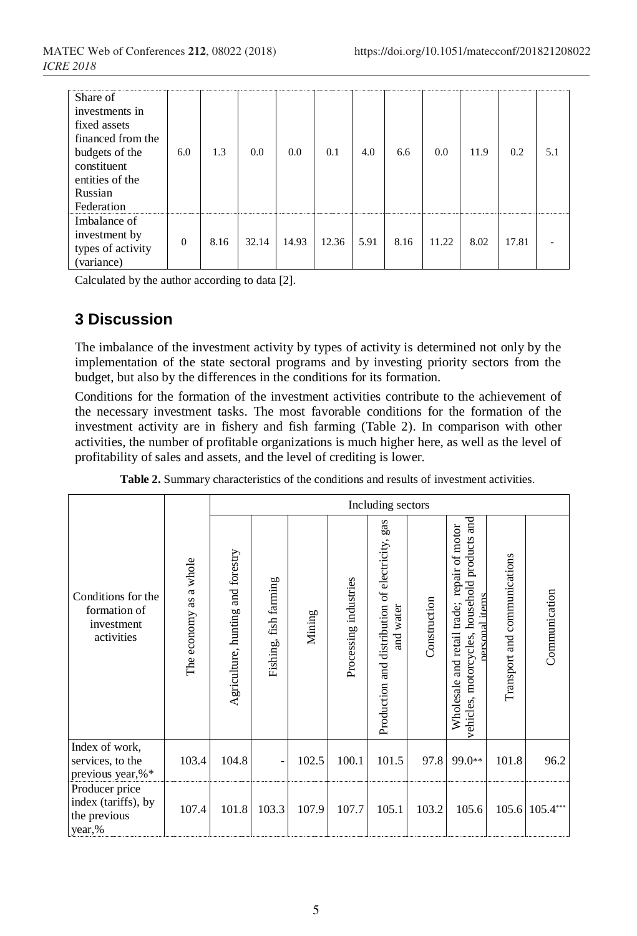| Share of<br>investments in<br>fixed assets<br>financed from the<br>budgets of the<br>constituent<br>entities of the<br>Russian<br>Federation | 6.0      | 1.3  | 0.0   | 0.0       | 0.1       | 4.0      | 6.6      | 0.0       | 11.9     | 0.2   | 51 |
|----------------------------------------------------------------------------------------------------------------------------------------------|----------|------|-------|-----------|-----------|----------|----------|-----------|----------|-------|----|
| Imbalance of<br>investment by<br>types of activity<br>(variance)                                                                             | $\Omega$ | 8.16 | 32.14 | <br>14.93 | <br>12.36 | <br>5.91 | <br>8.16 | <br>11.22 | <br>8.02 | 17.81 | .  |

Calculated by the author according to data [2].

## **3 Discussion**

The imbalance of the investment activity by types of activity is determined not only by the implementation of the state sectoral programs and by investing priority sectors from the budget, but also by the differences in the conditions for its formation.

Conditions for the formation of the investment activities contribute to the achievement of the necessary investment tasks. The most favorable conditions for the formation of the investment activity are in fishery and fish farming (Table 2). In comparison with other activities, the number of profitable organizations is much higher here, as well as the level of profitability of sales and assets, and the level of crediting is lower.

|                                                                 |                              | Including sectors                 |                       |        |                       |                                                                                 |              |                                                                                                                         |                              |                |  |
|-----------------------------------------------------------------|------------------------------|-----------------------------------|-----------------------|--------|-----------------------|---------------------------------------------------------------------------------|--------------|-------------------------------------------------------------------------------------------------------------------------|------------------------------|----------------|--|
| Conditions for the<br>formation of<br>investment<br>activities  | a whole<br>as<br>The economy | Agriculture, hunting and forestry | Fishing, fish farming | Mining | Processing industries | gas<br>of electricity,<br>Production and distribution<br>water<br>$\frac{1}{2}$ | Construction | products and<br>repair of motor<br>household<br>personal items<br>Wholesale and retail trade;<br>vehicles, motorcycles, | Transport and communications | Communication  |  |
| Index of work,<br>services, to the<br>previous year,%*          | 103.4                        | 104.8                             |                       | 102.5  | 100.1                 | 101.5                                                                           | 97.8         | 99.0**                                                                                                                  | 101.8                        | 96.2           |  |
| Producer price<br>index (tariffs), by<br>the previous<br>year,% | 107.4                        | 101.8                             | 103.3                 | 107.9  | 107.7                 | 105.1                                                                           | 103.2        | 105.6                                                                                                                   |                              | 105.6 105.4*** |  |

**Table 2.** Summary characteristics of the conditions and results of investment activities.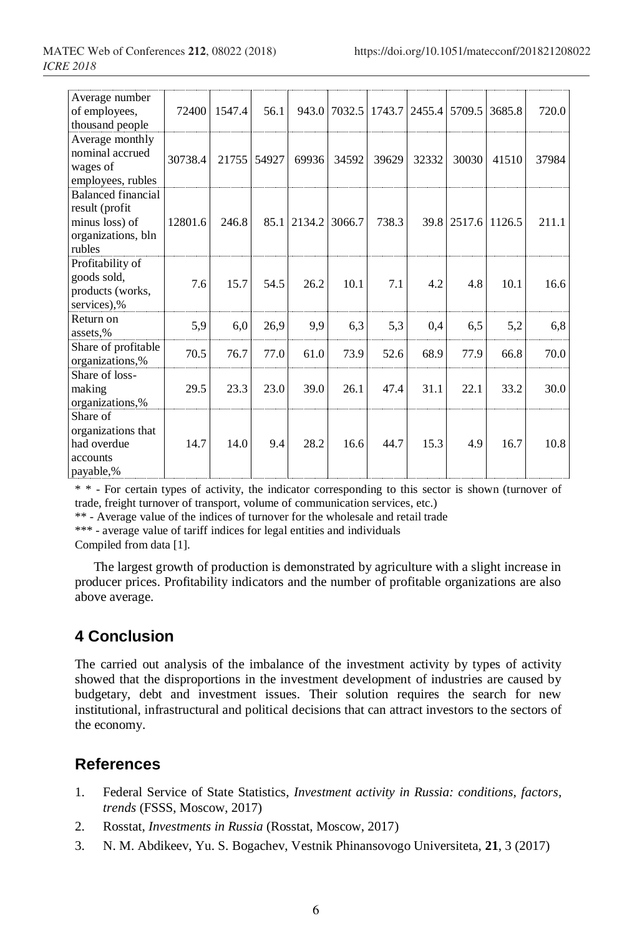| Average number<br>of employees,<br>thousand people                                            | 72400   | 1547.4 | 56.1  |        | 943.0 7032.5 1743.7 |       |       | 2455.4 5709.5 3685.8 |       | 720.0 |
|-----------------------------------------------------------------------------------------------|---------|--------|-------|--------|---------------------|-------|-------|----------------------|-------|-------|
| Average monthly<br>nominal accrued<br>wages of<br>employees, rubles                           | 30738.4 | 21755  | 54927 | 69936  | 34592               | 39629 | 32332 | 30030                | 41510 | 37984 |
| <b>Balanced financial</b><br>result (profit<br>minus loss) of<br>organizations, bln<br>rubles | 12801.6 | 246.8  | 85.1  | 2134.2 | 3066.7              | 738.3 |       | 39.8 2517.6 1126.5   |       | 211.1 |
| Profitability of<br>goods sold,<br>products (works,<br>services),%                            | 7.6     | 15.7   | 54.5  | 26.2   | 10.1                | 7.1   | 4.2   | 4.8                  | 10.1  | 16.6  |
| Return on<br>assets,%                                                                         | 5,9     | 6,0    | 26,9  | 9,9    | 6,3                 | 5,3   | 0,4   | 6,5                  | 5,2   | 6,8   |
| Share of profitable<br>organizations,%                                                        | 70.5    | 76.7   | 77.0  | 61.0   | 73.9                | 52.6  | 68.9  | 77.9                 | 66.8  | 70.0  |
| Share of loss-<br>making<br>organizations,%                                                   | 29.5    | 23.3   | 23.0  | 39.0   | 26.1                | 47.4  | 31.1  | 22.1                 | 33.2  | 30.0  |
| Share of<br>organizations that<br>had overdue<br>accounts<br>payable,%                        | 14.7    | 14.0   | 9.4   | 28.2   | 16.6                | 44.7  | 15.3  | 4.9                  | 16.7  | 10.8  |

\* \* - For certain types of activity, the indicator corresponding to this sector is shown (turnover of trade, freight turnover of transport, volume of communication services, etc.)

\*\* - Average value of the indices of turnover for the wholesale and retail trade

\*\*\* - average value of tariff indices for legal entities and individuals

Compiled from data [1].

The largest growth of production is demonstrated by agriculture with a slight increase in producer prices. Profitability indicators and the number of profitable organizations are also above average.

## **4 Conclusion**

The carried out analysis of the imbalance of the investment activity by types of activity showed that the disproportions in the investment development of industries are caused by budgetary, debt and investment issues. Their solution requires the search for new institutional, infrastructural and political decisions that can attract investors to the sectors of the economy.

## **References**

- 1. Federal Service of State Statistics, *Investment activity in Russia: conditions, factors, trends* (FSSS, Moscow, 2017)
- 2. Rosstat, *Investments in Russia* (Rosstat, Moscow, 2017)
- 3. N. M. Abdikeev, Yu. S. Bogachev, Vestnik Phinansovogo Universiteta, **21**, 3 (2017)